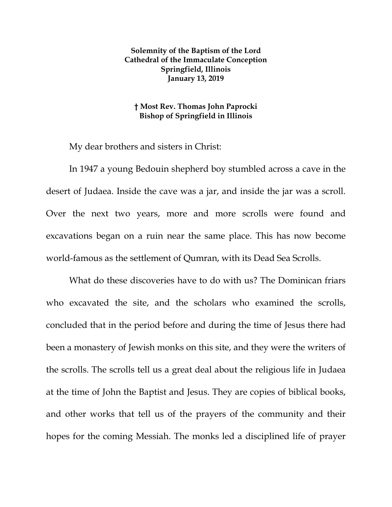## **Solemnity of the Baptism of the Lord Cathedral of the Immaculate Conception Springfield, Illinois January 13, 2019**

## **† Most Rev. Thomas John Paprocki Bishop of Springfield in Illinois**

My dear brothers and sisters in Christ:

In 1947 a young Bedouin shepherd boy stumbled across a cave in the desert of Judaea. Inside the cave was a jar, and inside the jar was a scroll. Over the next two years, more and more scrolls were found and excavations began on a ruin near the same place. This has now become world-famous as the settlement of Qumran, with its Dead Sea Scrolls.

What do these discoveries have to do with us? The Dominican friars who excavated the site, and the scholars who examined the scrolls, concluded that in the period before and during the time of Jesus there had been a monastery of Jewish monks on this site, and they were the writers of the scrolls. The scrolls tell us a great deal about the religious life in Judaea at the time of John the Baptist and Jesus. They are copies of biblical books, and other works that tell us of the prayers of the community and their hopes for the coming Messiah. The monks led a disciplined life of prayer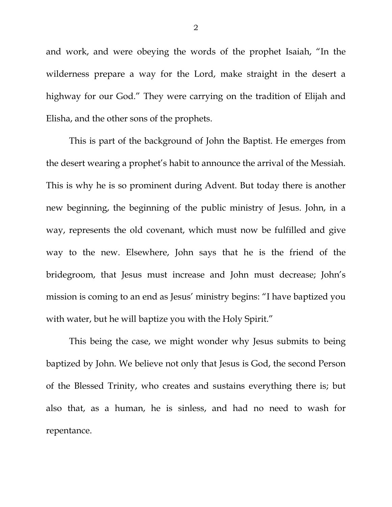and work, and were obeying the words of the prophet Isaiah, "In the wilderness prepare a way for the Lord, make straight in the desert a highway for our God." They were carrying on the tradition of Elijah and Elisha, and the other sons of the prophets.

This is part of the background of John the Baptist. He emerges from the desert wearing a prophet's habit to announce the arrival of the Messiah. This is why he is so prominent during Advent. But today there is another new beginning, the beginning of the public ministry of Jesus. John, in a way, represents the old covenant, which must now be fulfilled and give way to the new. Elsewhere, John says that he is the friend of the bridegroom, that Jesus must increase and John must decrease; John's mission is coming to an end as Jesus' ministry begins: "I have baptized you with water, but he will baptize you with the Holy Spirit."

This being the case, we might wonder why Jesus submits to being baptized by John. We believe not only that Jesus is God, the second Person of the Blessed Trinity, who creates and sustains everything there is; but also that, as a human, he is sinless, and had no need to wash for repentance.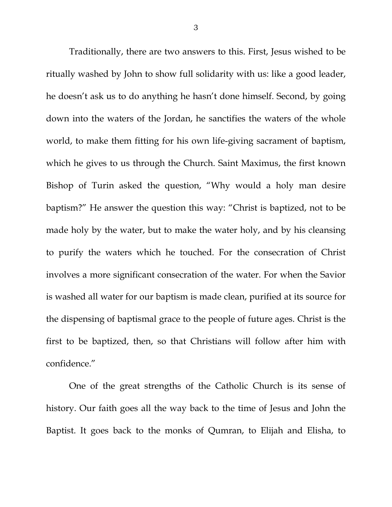Traditionally, there are two answers to this. First, Jesus wished to be ritually washed by John to show full solidarity with us: like a good leader, he doesn't ask us to do anything he hasn't done himself. Second, by going down into the waters of the Jordan, he sanctifies the waters of the whole world, to make them fitting for his own life-giving sacrament of baptism, which he gives to us through the Church. Saint Maximus, the first known Bishop of Turin asked the question, "Why would a holy man desire baptism?" He answer the question this way: "Christ is baptized, not to be made holy by the water, but to make the water holy, and by his cleansing to purify the waters which he touched. For the consecration of Christ involves a more significant consecration of the water. For when the Savior is washed all water for our baptism is made clean, purified at its source for the dispensing of baptismal grace to the people of future ages. Christ is the first to be baptized, then, so that Christians will follow after him with confidence."

<span id="page-2-0"></span>One of the great strengths of the Catholic Church is its sense of history. Our faith goes all the way back to the time of Jesus and John the Baptist. It goes back to the monks of Qumran, to Elijah and Elisha, to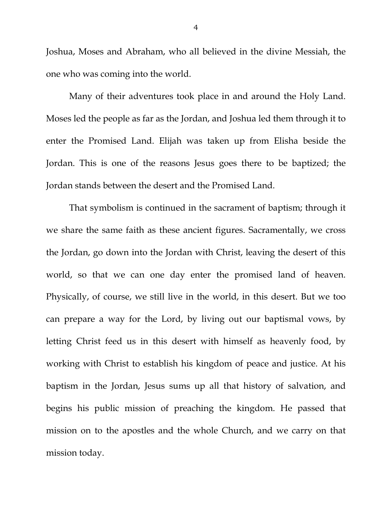Joshua, Moses and Abraham, who all believed in the divine Messiah, the one who was coming into the world.

Many of their adventures took place in and around the Holy Land. Moses led the people as far as the Jordan, and Joshua led them through it to enter the Promised Land. Elijah was taken up from Elisha beside the Jordan. This is one of the reasons Jesus goes there to be baptized; the Jordan stands between the desert and the Promised Land.

That symbolism is continued in the sacrament of baptism; through it we share the same faith as these ancient figures. Sacramentally, we cross the Jordan, go down into the Jordan with Christ, leaving the desert of this world, so that we can one day enter the promised land of heaven. Physically, of course, we still live in the world, in this desert. But we too can prepare a way for the Lord, by living out our baptismal vows, by letting Christ feed us in this desert with himself as heavenly food, by working with Christ to establish his kingdom of peace and justice. At his baptism in the Jordan, Jesus sums up all that history of salvation, and begins his public mission of preaching the kingdom. He passed that mission on to the apostles and the whole Church, and we carry on that mission today.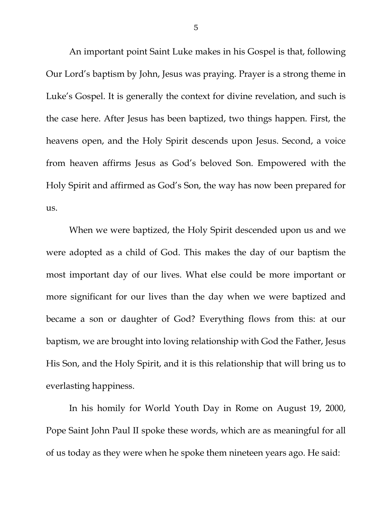An important point Saint Luke makes in his Gospel is that, following Our Lord's baptism by John, Jesus was praying. Prayer is a strong theme in Luke's Gospel. It is generally the context for divine revelation, and such is the case here. After Jesus has been baptized, two things happen. First, the heavens open, and the Holy Spirit descends upon Jesus. Second, a voice from heaven affirms Jesus as God's beloved Son. Empowered with the Holy Spirit and affirmed as God's Son, the way has now been prepared for us.

When we were baptized, the Holy Spirit descended upon us and we were adopted as a child of God. This makes the day of our baptism the most important day of our lives. What else could be more important or more significant for our lives than the day when we were baptized and became a son or daughter of God? Everything flows from this: at our baptism, we are brought into loving relationship with God the Father, Jesus His Son, and the Holy Spirit, and it is this relationship that will bring us to everlasting happiness.

In his homily for World Youth Day in Rome on August 19, 2000, Pope Saint John Paul II spoke these words, which are as meaningful for all of us today as they were when he spoke them nineteen years ago. He said: